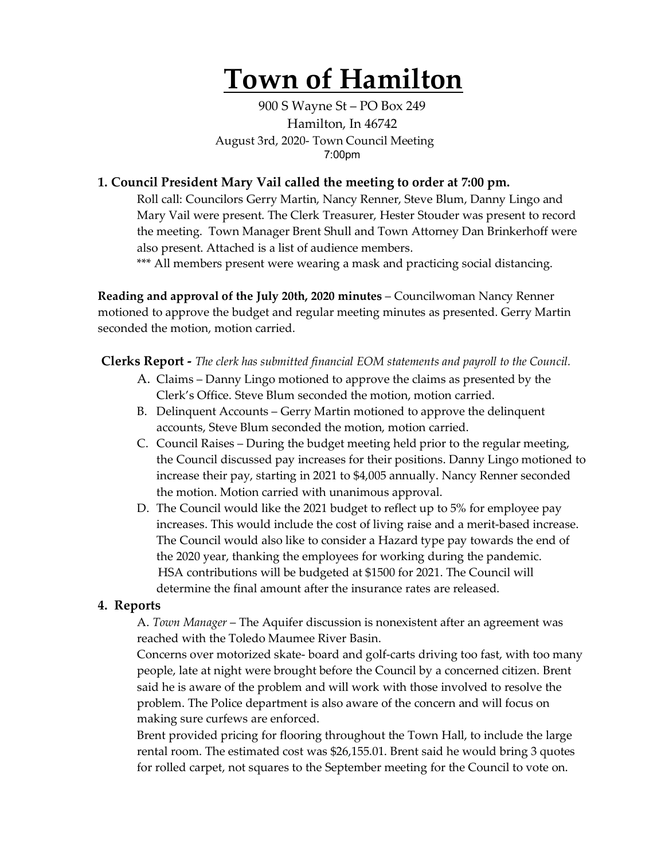# **Town of Hamilton**

900 S Wayne St – PO Box 249 Hamilton, In 46742 August 3rd, 2020- Town Council Meeting 7:00pm

### **1. Council President Mary Vail called the meeting to order at 7:00 pm.**

Roll call: Councilors Gerry Martin, Nancy Renner, Steve Blum, Danny Lingo and Mary Vail were present. The Clerk Treasurer, Hester Stouder was present to record the meeting. Town Manager Brent Shull and Town Attorney Dan Brinkerhoff were also present. Attached is a list of audience members.

\*\*\* All members present were wearing a mask and practicing social distancing.

**Reading and approval of the July 20th, 2020 minutes** – Councilwoman Nancy Renner motioned to approve the budget and regular meeting minutes as presented. Gerry Martin seconded the motion, motion carried.

**Clerks Report -** *The clerk has submitted financial EOM statements and payroll to the Council.* 

- A. Claims Danny Lingo motioned to approve the claims as presented by the Clerk's Office. Steve Blum seconded the motion, motion carried.
- B. Delinquent Accounts Gerry Martin motioned to approve the delinquent accounts, Steve Blum seconded the motion, motion carried.
- C. Council Raises During the budget meeting held prior to the regular meeting, the Council discussed pay increases for their positions. Danny Lingo motioned to increase their pay, starting in 2021 to \$4,005 annually. Nancy Renner seconded the motion. Motion carried with unanimous approval.
- D. The Council would like the 2021 budget to reflect up to 5% for employee pay increases. This would include the cost of living raise and a merit-based increase. The Council would also like to consider a Hazard type pay towards the end of the 2020 year, thanking the employees for working during the pandemic. HSA contributions will be budgeted at \$1500 for 2021. The Council will determine the final amount after the insurance rates are released.

#### **4. Reports**

A. *Town Manager* – The Aquifer discussion is nonexistent after an agreement was reached with the Toledo Maumee River Basin.

Concerns over motorized skate- board and golf-carts driving too fast, with too many people, late at night were brought before the Council by a concerned citizen. Brent said he is aware of the problem and will work with those involved to resolve the problem. The Police department is also aware of the concern and will focus on making sure curfews are enforced.

Brent provided pricing for flooring throughout the Town Hall, to include the large rental room. The estimated cost was \$26,155.01. Brent said he would bring 3 quotes for rolled carpet, not squares to the September meeting for the Council to vote on.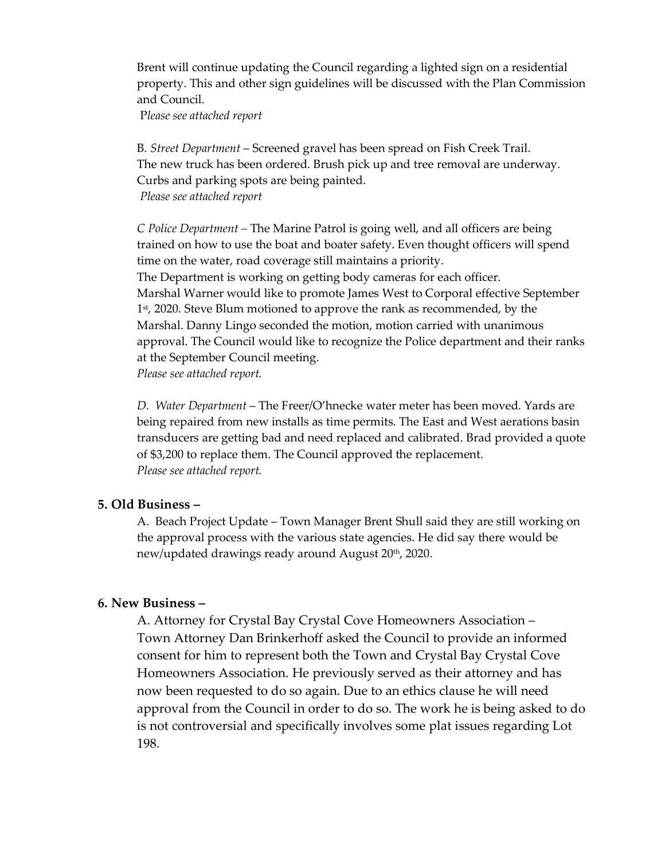Brent will continue updating the Council regarding a lighted sign on a residential property. This and other sign guidelines will be discussed with the Plan Commission and Council.

P*lease see attached report*

B*. Street Department* – Screened gravel has been spread on Fish Creek Trail. The new truck has been ordered. Brush pick up and tree removal are underway. Curbs and parking spots are being painted. *Please see attached report*

*C Police Department –* The Marine Patrol is going well, and all officers are being trained on how to use the boat and boater safety. Even thought officers will spend time on the water, road coverage still maintains a priority. The Department is working on getting body cameras for each officer. Marshal Warner would like to promote James West to Corporal effective September 1<sup>st</sup>, 2020. Steve Blum motioned to approve the rank as recommended, by the Marshal. Danny Lingo seconded the motion, motion carried with unanimous approval. The Council would like to recognize the Police department and their ranks at the September Council meeting. *Please see attached report.*

*D. Water Department* – The Freer/O'hnecke water meter has been moved. Yards are being repaired from new installs as time permits. The East and West aerations basin transducers are getting bad and need replaced and calibrated. Brad provided a quote of \$3,200 to replace them. The Council approved the replacement. *Please see attached report.* 

#### **5. Old Business –**

A. Beach Project Update – Town Manager Brent Shull said they are still working on the approval process with the various state agencies. He did say there would be new/updated drawings ready around August 20<sup>th</sup>, 2020.

#### **6. New Business –**

A. Attorney for Crystal Bay Crystal Cove Homeowners Association – Town Attorney Dan Brinkerhoff asked the Council to provide an informed consent for him to represent both the Town and Crystal Bay Crystal Cove Homeowners Association. He previously served as their attorney and has now been requested to do so again. Due to an ethics clause he will need approval from the Council in order to do so. The work he is being asked to do is not controversial and specifically involves some plat issues regarding Lot 198.